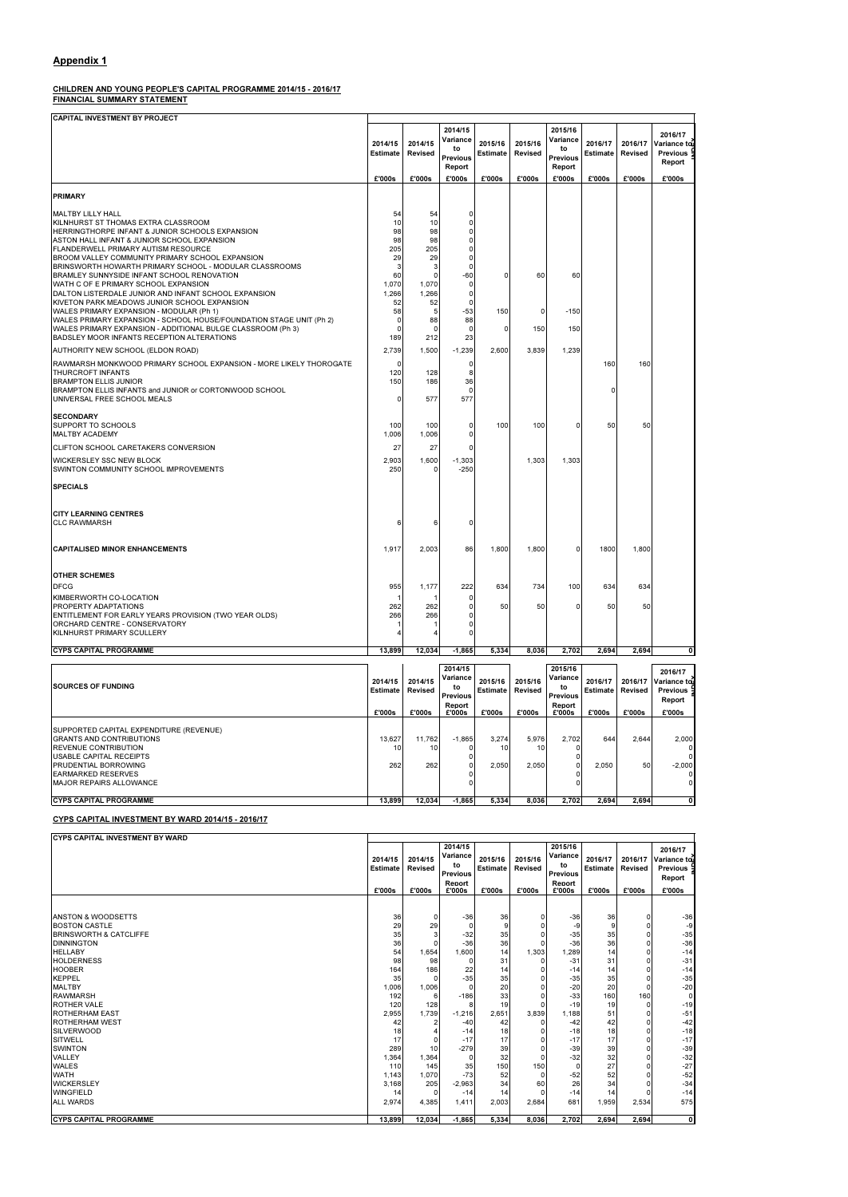#### CHILDREN AND YOUNG PEOPLE'S CAPITAL PROGRAMME 2014/15 - 2016/17 FINANCIAL SUMMARY STATEMENT

SUPPORTED CAPITAL EXPENDITURE (REVENUE) GRANTS AND CONTRIBUTIONS 13,627 11,762 -1,865 3,274 5,976 2,702 644 2,644 2,000 REVENUE CONTRIBUTION 10 10 0 10 10 0 0 USABLE CAPITAL RECEIPTS PRUDENTIAL BORROWING 262 262 0 2,050 2,050 0 2,050 50 -2,000 EARMARKED RESERVES 0 0 0 MAJOR REPAIRS ALLOWANCE CYPS CAPITAL PROGRAMME 13,899 12,034 -1,865 5,334 8,036 2,702 2,694 2,694

CAPITAL INVESTMENT BY PROJECT 2014/15 Estimate 2014/15 Revised 2014/15 Variance to Previous Report 2015/16 Estimate 2015/16 Revised 2015/16 **Variance** to **Previous** Report 2016/17 Estimate 2016/17 Revised 2016/17 Variance to Previous Report £'000s £'000s £'000s £'000s £'000s £'000s £'000s £'000s £'000s PRIMARY MALTBY LILLY HALL 54 54 0 KILNHURST ST THOMAS EXTRA CLASSROOM 10 10 0 HERRINGTHORPE INFANT & JUNIOR SCHOOLS EXPANSION ASTON HALL INFANT & JUNIOR SCHOOL EXPANSION 98 98 0 FLANDERWELL PRIMARY AUTISM RESOURCE 205 205 0 BROOM VALLEY COMMUNITY PRIMARY SCHOOL EXPANSION 29 29 0 BRINSWORTH HOWARTH PRIMARY SCHOOL - MODULAR CLASSROOMS 3| 3| 0 BRAMLEY SUNNYSIDE INFANT SCHOOL RENOVATION 60 0 -60 0 60 60 WATH C OF E PRIMARY SCHOOL EXPANSION 1,070 1,070 1,070 1,070 0 DALTON LISTERDALE JUNIOR AND INFANT SCHOOL EXPANSION 1,266 1,266 0 KIVETON PARK MEADOWS JUNIOR SCHOOL EXPANSION 52 52 0 |WALES PRIMARY EXPANSION - MODULAR (Ph 1) 58 <sup>5 -53</sup> -53 150 0 -150 -55 WALES PRIMARY EXPANSION - SCHOOL HOUSE/FOUNDATION STAGE UNIT (Ph 2)  $|$   $|$   $|$   $|$   $|$   $|$   $|$  88  $|$  88 WALES PRIMARY EXPANSION - ADDITIONAL BULGE CLASSROOM (Ph 3)  $\begin{array}{|c|c|c|c|c|c|c|c|} \hline \rule{0pt}{13pt} & \rule{0pt}{2pt} & \rule{0pt}{2pt} & \rule{0pt}{2pt} & \rule{0pt}{2pt} & \rule{0pt}{2pt} & \rule{0pt}{2pt} & \rule{0pt}{2pt} & \rule{0pt}{2pt} & \rule{0pt}{2pt} & \rule{0pt}{2pt} & \rule{0pt}{2pt} & \rule{0pt}{2pt} & \rule{0$ BADSLEY MOOR INFANTS RECEPTION ALTERATIONS AUTHORITY NEW SCHOOL (ELDON ROAD) 2,739 1,500 -1,239 2,600 3,839 1,239  $R$ AWMARSH MONKWOOD PRIMARY SCHOOL EXPANSION - MORE LIKELY THOROGATE  $\begin{vmatrix} 0 & 0 & 0 \end{vmatrix}$  0  $\begin{vmatrix} 0 & 0 & 0 \end{vmatrix}$  160 160 160 THURCROFT INFANTS 120 128 8 BRAMPTON ELLIS JUNIOR 150 186 36 BRAMPTON ELLIS INFANTS and JUNIOR or CORTONWOOD SCHOOL 0 0 UNIVERSAL FREE SCHOOL MEALS **1999 12:00 12:00 13:00 13:00 13:00 14:00 15:00 15:00 15:00 15:00 15:00 15:00 15:00 SECONDARY** SUPPORT TO SCHOOLS 100 100 0 100 100 0 50 50 MALTBY ACADEMY CLIFTON SCHOOL CARETAKERS CONVERSION 27 27 27 27 27 0 WICKERSLEY SSC NEW BLOCK 2,903 1,600 -1,303 1,303 1,303 SWINTON COMMUNITY SCHOOL IMPROVEMENTS  $\begin{array}{|c|c|c|c|c|c|}\n\hline\n\text{250} & \text{250} & \text{0} & \text{-250} \\
\hline\n\end{array}$ **SPECIALS** CITY LEARNING CENTRES CLC RAWMARSH 6 | 6 | 0 CAPITALISED MINOR ENHANCEMENTS 1,917 2,003 86 1,800 1,800 0 1,800 1,800 OTHER SCHEMES DFCG 955 1,177 222 634 734 100 634 634 KIMBERWORTH CO-LOCATION 1 1 0 PROPERTY ADAPTATIONS<br>ENTITLEMENT FOR EARLY YEARS PROVISION (TWO YEAR OLDS)  $\begin{bmatrix} 262 & 262 & 262 & 0 & 50 \ 266 & 266 & 0 & 0 \end{bmatrix}$ ENTITLEMENT FOR EARLY YEARS PROVISION (TWO YEAR OLDS)  $266$   $266$   $266$ ORCHARD CENTRE - CONSERVATORY KILNHURST PRIMARY SCULLERY CYPS CAPITAL PROGRAMME 2,694 13,899 12,034 -1,865 5,334 8,036 2,702 2,694 2,694 SOURCES OF FUNDING 2014/15 Estimate 2014/15 Revised 2014/15 Variance to Previous Report 2015/16 Estimate 2015/16 Revised 2015/16 Variance to Previous Report 2016/17 Estimate 2016/17 Revised 2016/17 Variance to Previous Report £'000s £'000s £'000s £'000s £'000s £'000s £'000s £'000s £'000s

Line<br>I

Line<br>I

#### CYPS CAPITAL INVESTMENT BY WARD 2014/15 - 2016/17

| <b>CYPS CAPITAL INVESTMENT BY WARD</b> |                            |                    |                                                        |                            |                    |                                                        |                                    |        |                                                               |
|----------------------------------------|----------------------------|--------------------|--------------------------------------------------------|----------------------------|--------------------|--------------------------------------------------------|------------------------------------|--------|---------------------------------------------------------------|
|                                        | 2014/15<br><b>Estimate</b> | 2014/15<br>Revised | 2014/15<br>Variance<br>to<br><b>Previous</b><br>Report | 2015/16<br><b>Estimate</b> | 2015/16<br>Revised | 2015/16<br>Variance<br>to<br><b>Previous</b><br>Report | 2016/17<br><b>Estimate Revised</b> |        | 2016/17<br>2016/17 Variance toll<br><b>Previous</b><br>Report |
|                                        | £'000s                     | £'000s             | £'000s                                                 | £'000s                     | £'000s             | £'000s                                                 | £'000s                             | £'000s | £'000s                                                        |
|                                        |                            |                    |                                                        |                            |                    |                                                        |                                    |        |                                                               |

| <b>JANSTON &amp; WOODSETTS</b>    | 36     | 0            | $-36$    | 36    | O        | $-36$    | 36    | 0     | $-36$        |
|-----------------------------------|--------|--------------|----------|-------|----------|----------|-------|-------|--------------|
| <b>BOSTON CASTLE</b>              | 29     | 29           |          |       |          | -9       |       |       | -9           |
| <b>BRINSWORTH &amp; CATCLIFFE</b> | 35     |              | $-32$    | 35    | O        | $-35$    | 35    |       | $-35$        |
| <b>DINNINGTON</b>                 | 36     |              | $-36$    | 36    | O        | $-36$    | 36    |       | $-36$        |
| <b>HELLABY</b>                    | 54     | 1,654        | 1,600    | 14    | 1,303    | 1,289    | 14    |       | $-14$        |
| <b>HOLDERNESS</b>                 | 98     | 98           |          | 31    |          | $-31$    | 31    |       | $-31$        |
| <b>HOOBER</b>                     | 164    | 186          | 22       | 14    |          | $-14$    | 14    |       | $-14$        |
| <b>KEPPEL</b>                     | 35     | <sup>0</sup> | $-35$    | 35    |          | $-35$    | 35    |       | $-35$        |
| <b>MALTBY</b>                     | 1,006  | 1,006        |          | 20    |          | $-20$    | 20    |       | $-20$        |
| <b>RAWMARSH</b>                   | 192    | 6            | $-186$   | 33    |          | $-33$    | 160   | 160   | 0            |
| <b>ROTHER VALE</b>                | 120    | 128          |          | 19    |          | $-19$    | 19    |       | $-19$        |
| <b>ROTHERHAM EAST</b>             | 2,955  | 1,739        | $-1,216$ | 2,651 | 3,839    | 1,188    | 51    |       | $-51$        |
| <b>ROTHERHAM WEST</b>             | 42     |              | $-40$    | 42    |          | $-42$    | 42    |       | $-42$        |
| <b>SILVERWOOD</b>                 | 18     |              | $-14$    | 18    |          | $-18$    | 18    |       | $-18$        |
| <b>SITWELL</b>                    | 17     | 0            | $-17$    | 17    |          | $-17$    | 17    |       | $-17$        |
| <b>SWINTON</b>                    | 289    | 10           | $-279$   | 39    | O        | $-39$    | 39    |       | $-39$        |
| <b>VALLEY</b>                     | 1,364  | 1,364        |          | 32    | O        | $-32$    | 32    |       | $-32$        |
| <b>WALES</b>                      | 110    | 145          | 35       | 150   | 150      | $\Omega$ | 27    |       | $-27$        |
| <b>WATH</b>                       | 1,143  | 1,070        | $-73$    | 52    | $\Omega$ | $-52$    | 52    |       | $-52$        |
| <b>WICKERSLEY</b>                 | 3,168  | 205          | $-2,963$ | 34    | 60       | 26       | 34    |       | $-34$        |
| <b>WINGFIELD</b>                  | 14     | 0            | $-14$    | 14    | $\Omega$ | $-14$    | 14    |       | $-14$        |
| <b>ALL WARDS</b>                  | 2,974  | 4,385        | 1,411    | 2,003 | 2,684    | 681      | 1,959 | 2,534 | 575          |
|                                   |        |              |          |       |          |          |       |       |              |
| <b>CYPS CAPITAL PROGRAMME</b>     | 13,899 | 12,034       | $-1,865$ | 5,334 | 8,036    | 2,702    | 2,694 | 2,694 | $\mathbf{0}$ |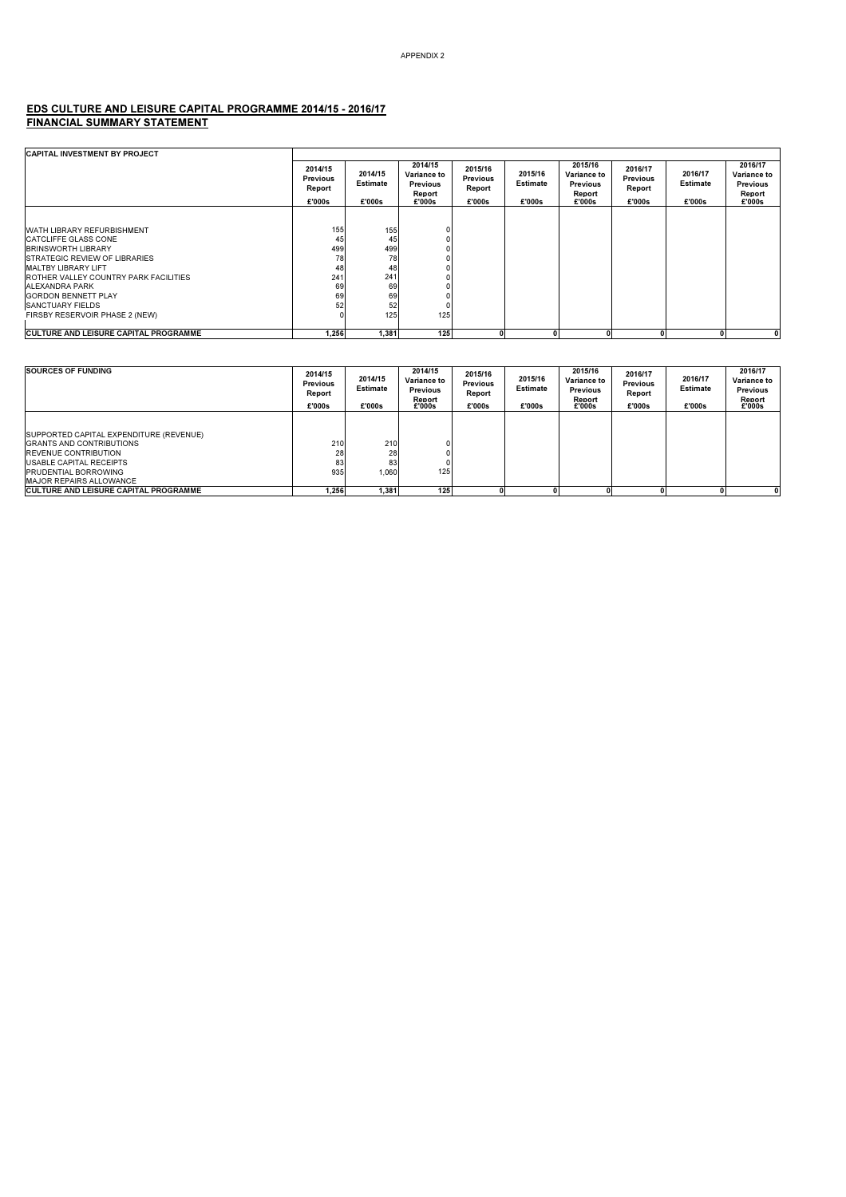#### EDS CULTURE AND LEISURE CAPITAL PROGRAMME 2014/15 - 2016/17 FINANCIAL SUMMARY STATEMENT

| <b>CAPITAL INVESTMENT BY PROJECT</b>                                                                                                                                                                          |                                                |                                      |                                                        |                                         |                                      |                                                               |                                                |                               |                                                               |
|---------------------------------------------------------------------------------------------------------------------------------------------------------------------------------------------------------------|------------------------------------------------|--------------------------------------|--------------------------------------------------------|-----------------------------------------|--------------------------------------|---------------------------------------------------------------|------------------------------------------------|-------------------------------|---------------------------------------------------------------|
|                                                                                                                                                                                                               | 2014/15<br><b>Previous</b><br>Report<br>£'000s | 2014/15<br><b>Estimate</b><br>£'000s | 2014/15<br>Variance to<br>Previous<br>Report<br>£'000s | 2015/16<br>Previous<br>Report<br>£'000s | 2015/16<br><b>Estimate</b><br>£'000s | 2015/16<br>Variance to<br><b>Previous</b><br>Report<br>£'000s | 2016/17<br><b>Previous</b><br>Report<br>£'000s | 2016/17<br>Estimate<br>£'000s | 2016/17<br>Variance to<br><b>Previous</b><br>Report<br>£'000s |
|                                                                                                                                                                                                               |                                                |                                      |                                                        |                                         |                                      |                                                               |                                                |                               |                                                               |
| WATH LIBRARY REFURBISHMENT<br><b>CATCLIFFE GLASS CONE</b><br><b>BRINSWORTH LIBRARY</b><br><b>ISTRATEGIC REVIEW OF LIBRARIES</b><br><b>MALTBY LIBRARY LIFT</b><br><b>ROTHER VALLEY COUNTRY PARK FACILITIES</b> | 155<br>45<br>499<br>78<br>48<br>241            | 155<br>45<br>499<br>78<br>48<br>241  |                                                        |                                         |                                      |                                                               |                                                |                               |                                                               |
| ALEXANDRA PARK                                                                                                                                                                                                | 69                                             | 69                                   |                                                        |                                         |                                      |                                                               |                                                |                               |                                                               |
| <b>GORDON BENNETT PLAY</b><br>SANCTUARY FIELDS                                                                                                                                                                | 69<br>52                                       | 69<br>52                             |                                                        |                                         |                                      |                                                               |                                                |                               |                                                               |
| FIRSBY RESERVOIR PHASE 2 (NEW)                                                                                                                                                                                |                                                | 125                                  | 125                                                    |                                         |                                      |                                                               |                                                |                               |                                                               |
| <b>ICULTURE AND LEISURE CAPITAL PROGRAMME</b>                                                                                                                                                                 | 1,256                                          | 1,381                                | 125                                                    |                                         |                                      |                                                               |                                                |                               | 0                                                             |

| <b>SOURCES OF FUNDING</b>                                                                                                                                                                             | 2014/15<br><b>Previous</b><br>Report<br>£'000s | 2014/15<br><b>Estimate</b><br>£'000s | 2014/15<br><b>Variance to</b><br><b>Previous</b><br>Report<br>£'000s | 2015/16<br><b>Previous</b><br>Report<br>£'000s | 2015/16<br><b>Estimate</b><br>£'000s | 2015/16<br>Variance to<br><b>Previous</b><br>Report<br>£'000s | 2016/17<br><b>Previous</b><br>Report<br>£'000s | 2016/17<br><b>Estimate</b><br>£'000s | 2016/17<br>Variance to<br><b>Previous</b><br>Report<br>£'000s |
|-------------------------------------------------------------------------------------------------------------------------------------------------------------------------------------------------------|------------------------------------------------|--------------------------------------|----------------------------------------------------------------------|------------------------------------------------|--------------------------------------|---------------------------------------------------------------|------------------------------------------------|--------------------------------------|---------------------------------------------------------------|
| SUPPORTED CAPITAL EXPENDITURE (REVENUE)<br><b>GRANTS AND CONTRIBUTIONS</b><br><b>REVENUE CONTRIBUTION</b><br>USABLE CAPITAL RECEIPTS<br><b>PRUDENTIAL BORROWING</b><br><b>MAJOR REPAIRS ALLOWANCE</b> | 210<br>28<br>83<br>935                         | 210<br>28<br>83<br>1.060             | 125                                                                  |                                                |                                      |                                                               |                                                |                                      |                                                               |
| <b>ICULTURE AND LEISURE CAPITAL PROGRAMME</b>                                                                                                                                                         | 1.256                                          | 1.381                                | 125                                                                  |                                                |                                      |                                                               |                                                |                                      |                                                               |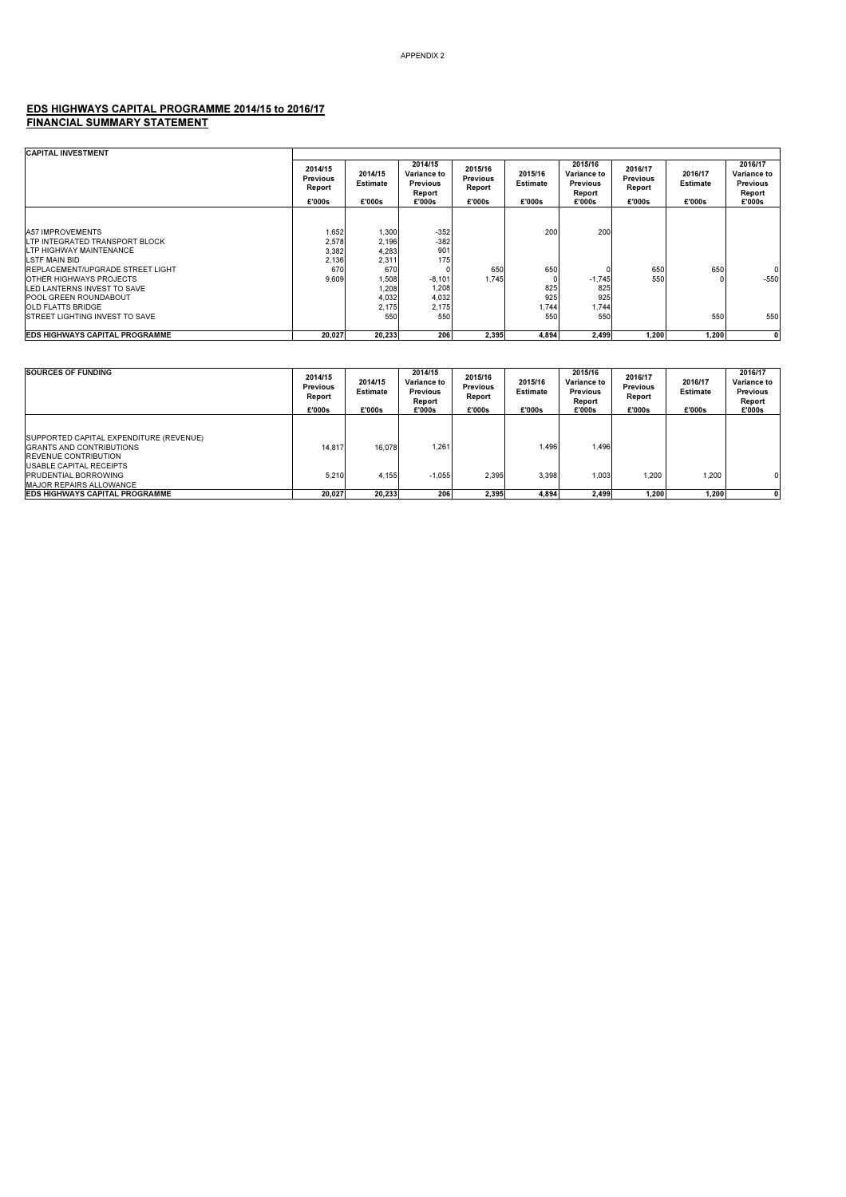#### EDS HIGHWAYS CAPITAL PROGRAMME 2014/15 to 2016/17 FINANCIAL SUMMARY STATEMENT

| <b>CAPITAL INVESTMENT</b>                                                                                                                                                                                         |                                                  |                                                           |                                                               |                                                |                                      |                                                               |                                                |                                      |                                                               |
|-------------------------------------------------------------------------------------------------------------------------------------------------------------------------------------------------------------------|--------------------------------------------------|-----------------------------------------------------------|---------------------------------------------------------------|------------------------------------------------|--------------------------------------|---------------------------------------------------------------|------------------------------------------------|--------------------------------------|---------------------------------------------------------------|
|                                                                                                                                                                                                                   | 2014/15<br><b>Previous</b><br>Report<br>£'000s   | 2014/15<br><b>Estimate</b><br>£'000s                      | 2014/15<br>Variance to<br><b>Previous</b><br>Report<br>£'000s | 2015/16<br><b>Previous</b><br>Report<br>£'000s | 2015/16<br><b>Estimate</b><br>£'000s | 2015/16<br>Variance to<br><b>Previous</b><br>Report<br>£'000s | 2016/17<br><b>Previous</b><br>Report<br>£'000s | 2016/17<br><b>Estimate</b><br>£'000s | 2016/17<br>Variance to<br><b>Previous</b><br>Report<br>£'000s |
|                                                                                                                                                                                                                   |                                                  |                                                           |                                                               |                                                |                                      |                                                               |                                                |                                      |                                                               |
| <b>A57 IMPROVEMENTS</b><br>LTP INTEGRATED TRANSPORT BLOCK<br>LTP HIGHWAY MAINTENANCE<br>LSTF MAIN BID<br><b>REPLACEMENT/UPGRADE STREET LIGHT</b><br><b>OTHER HIGHWAYS PROJECTS</b><br>LED LANTERNS INVEST TO SAVE | 1,652<br>2,578<br>3,382<br>2,136<br>670<br>9.609 | 1,300<br>2,196<br>4,283<br>2,311<br>670<br>1,508<br>1,208 | $-352$<br>$-382$<br>901<br>175<br>$-8,101$<br>1,208           | 650<br>1,745                                   | 200<br>650<br>825                    | 200<br>$-1,745$<br>825                                        | 650<br>550                                     | 650                                  | $-550$                                                        |
| <b>POOL GREEN ROUNDABOUT</b><br><b>OLD FLATTS BRIDGE</b><br><b>ISTREET LIGHTING INVEST TO SAVE</b>                                                                                                                |                                                  | 4,032<br>2,175<br>550                                     | 4,032<br>2,175<br>550                                         |                                                | 925<br>1,744<br>550                  | 925<br>1,744<br>550                                           |                                                | 550                                  | 550                                                           |
| <b>EDS HIGHWAYS CAPITAL PROGRAMME</b>                                                                                                                                                                             | 20,027                                           | 20,233                                                    | 206                                                           | 2,395                                          | 4,894                                | 2,499                                                         | 1,200                                          | 1,200                                |                                                               |

| <b>SOURCES OF FUNDING</b>                                                                                                                                                                             | 2014/15<br>Previous<br>Report<br>£'000s | 2014/15<br><b>Estimate</b><br>£'000s | 2014/15<br>Variance to<br><b>Previous</b><br>Report<br>£'000s | 2015/16<br><b>Previous</b><br>Report<br>£'000s | 2015/16<br><b>Estimate</b><br>£'000s | 2015/16<br>Variance to<br><b>Previous</b><br>Report<br>£'000s | 2016/17<br><b>Previous</b><br>Report<br>£'000s | 2016/17<br><b>Estimate</b><br>£'000s | 2016/17<br>Variance to<br>Previous<br>Report<br>£'000s |
|-------------------------------------------------------------------------------------------------------------------------------------------------------------------------------------------------------|-----------------------------------------|--------------------------------------|---------------------------------------------------------------|------------------------------------------------|--------------------------------------|---------------------------------------------------------------|------------------------------------------------|--------------------------------------|--------------------------------------------------------|
| SUPPORTED CAPITAL EXPENDITURE (REVENUE)<br><b>GRANTS AND CONTRIBUTIONS</b><br><b>REVENUE CONTRIBUTION</b><br>USABLE CAPITAL RECEIPTS<br><b>PRUDENTIAL BORROWING</b><br><b>MAJOR REPAIRS ALLOWANCE</b> | 14.817<br>5.210                         | 16.078<br>4,155                      | 1.261<br>$-1.055$                                             | 2.395                                          | 1.496<br>3.398                       | 1.496<br>1,003                                                | 1,200                                          | 1,200                                |                                                        |
| <b>EDS HIGHWAYS CAPITAL PROGRAMME</b>                                                                                                                                                                 | 20.027                                  | 20.233                               | 206                                                           | 2.395                                          | 4.894                                | 2.499                                                         | 1,200                                          | 1.200                                |                                                        |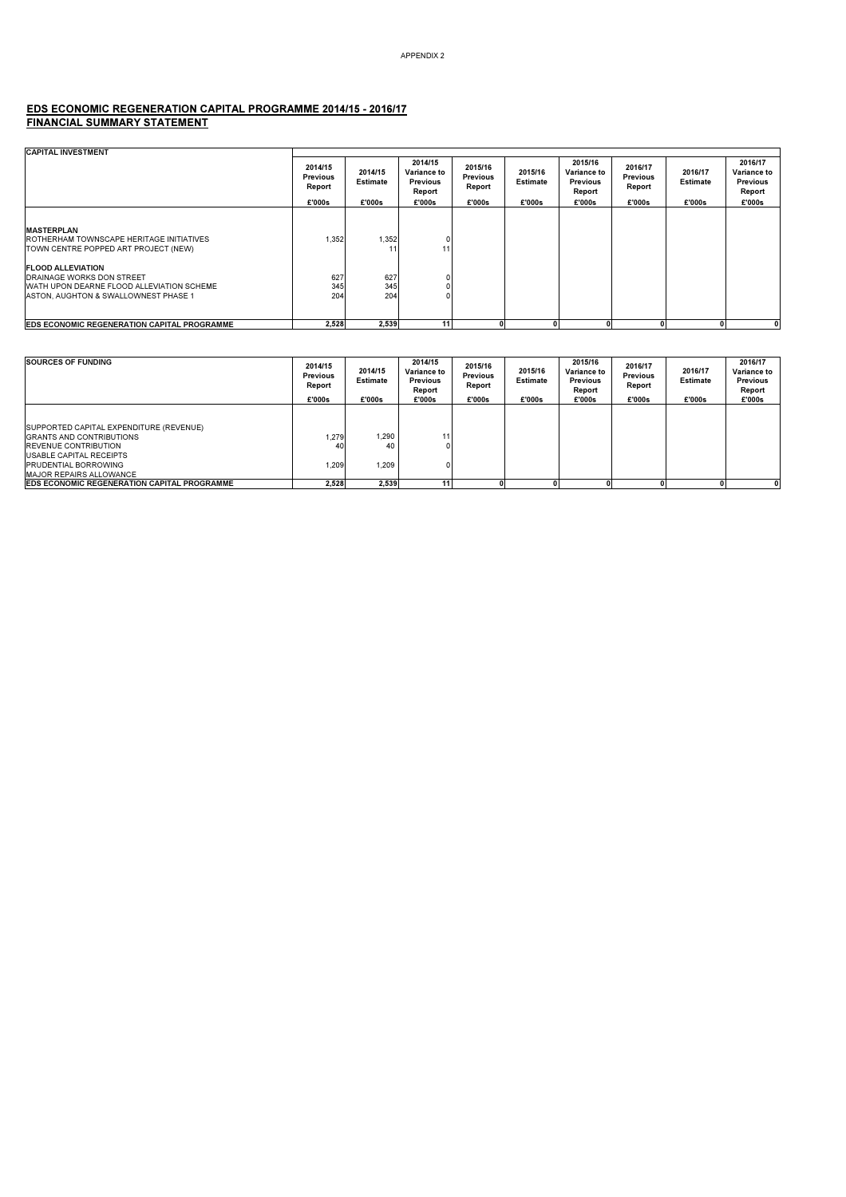#### EDS ECONOMIC REGENERATION CAPITAL PROGRAMME 2014/15 - 2016/17 FINANCIAL SUMMARY STATEMENT

| <b>CAPITAL INVESTMENT</b>                                                                                    |                                                |                                      |                                                        |                                         |                                      |                                                                      |                                         |                                      |                                                               |
|--------------------------------------------------------------------------------------------------------------|------------------------------------------------|--------------------------------------|--------------------------------------------------------|-----------------------------------------|--------------------------------------|----------------------------------------------------------------------|-----------------------------------------|--------------------------------------|---------------------------------------------------------------|
|                                                                                                              | 2014/15<br><b>Previous</b><br>Report<br>£'000s | 2014/15<br><b>Estimate</b><br>£'000s | 2014/15<br>Variance to<br>Previous<br>Report<br>£'000s | 2015/16<br>Previous<br>Report<br>£'000s | 2015/16<br><b>Estimate</b><br>£'000s | 2015/16<br><b>Variance to</b><br><b>Previous</b><br>Report<br>£'000s | 2016/17<br>Previous<br>Report<br>£'000s | 2016/17<br><b>Estimate</b><br>£'000s | 2016/17<br>Variance to<br><b>Previous</b><br>Report<br>£'000s |
|                                                                                                              |                                                |                                      |                                                        |                                         |                                      |                                                                      |                                         |                                      |                                                               |
| <b>MASTERPLAN</b><br><b>ROTHERHAM TOWNSCAPE HERITAGE INITIATIVES</b><br>TOWN CENTRE POPPED ART PROJECT (NEW) | 1.352                                          | 1,352<br>11                          | 11                                                     |                                         |                                      |                                                                      |                                         |                                      |                                                               |
| <b>FLOOD ALLEVIATION</b>                                                                                     |                                                |                                      |                                                        |                                         |                                      |                                                                      |                                         |                                      |                                                               |
| <b>DRAINAGE WORKS DON STREET</b>                                                                             | 627                                            | 627                                  |                                                        |                                         |                                      |                                                                      |                                         |                                      |                                                               |
| WATH UPON DEARNE FLOOD ALLEVIATION SCHEME                                                                    | 345                                            | 345                                  |                                                        |                                         |                                      |                                                                      |                                         |                                      |                                                               |
| ASTON, AUGHTON & SWALLOWNEST PHASE 1                                                                         | 204                                            | 204                                  |                                                        |                                         |                                      |                                                                      |                                         |                                      |                                                               |
| EDS ECONOMIC REGENERATION CAPITAL PROGRAMME                                                                  | 2,528                                          | 2,539                                | 11 <sub>1</sub>                                        |                                         |                                      |                                                                      | 0                                       |                                      |                                                               |

| <b>SOURCES OF FUNDING</b>                                                                                                                                                                                    | 2014/15<br><b>Previous</b><br>Report<br>£'000s | 2014/15<br><b>Estimate</b><br>£'000s | 2014/15<br>Variance to<br>Previous<br>Report<br>£'000s | 2015/16<br><b>Previous</b><br>Report<br>£'000s | 2015/16<br><b>Estimate</b><br>£'000s | 2015/16<br>Variance to<br><b>Previous</b><br>Report<br>£'000s | 2016/17<br><b>Previous</b><br>Report<br>£'000s | 2016/17<br><b>Estimate</b><br>£'000s | 2016/17<br>Variance to<br><b>Previous</b><br>Report<br>£'000s |
|--------------------------------------------------------------------------------------------------------------------------------------------------------------------------------------------------------------|------------------------------------------------|--------------------------------------|--------------------------------------------------------|------------------------------------------------|--------------------------------------|---------------------------------------------------------------|------------------------------------------------|--------------------------------------|---------------------------------------------------------------|
| SUPPORTED CAPITAL EXPENDITURE (REVENUE)<br><b>GRANTS AND CONTRIBUTIONS</b><br><b>REVENUE CONTRIBUTION</b><br><b>USABLE CAPITAL RECEIPTS</b><br><b>PRUDENTIAL BORROWING</b><br><b>MAJOR REPAIRS ALLOWANCE</b> | 1.279<br>40<br>1.209                           | 1.290<br>40<br>1.209                 | 111<br>0                                               |                                                |                                      |                                                               |                                                |                                      |                                                               |
| <b>EDS ECONOMIC REGENERATION CAPITAL PROGRAMME</b>                                                                                                                                                           | 2.528                                          | 2,539                                |                                                        |                                                |                                      |                                                               |                                                |                                      |                                                               |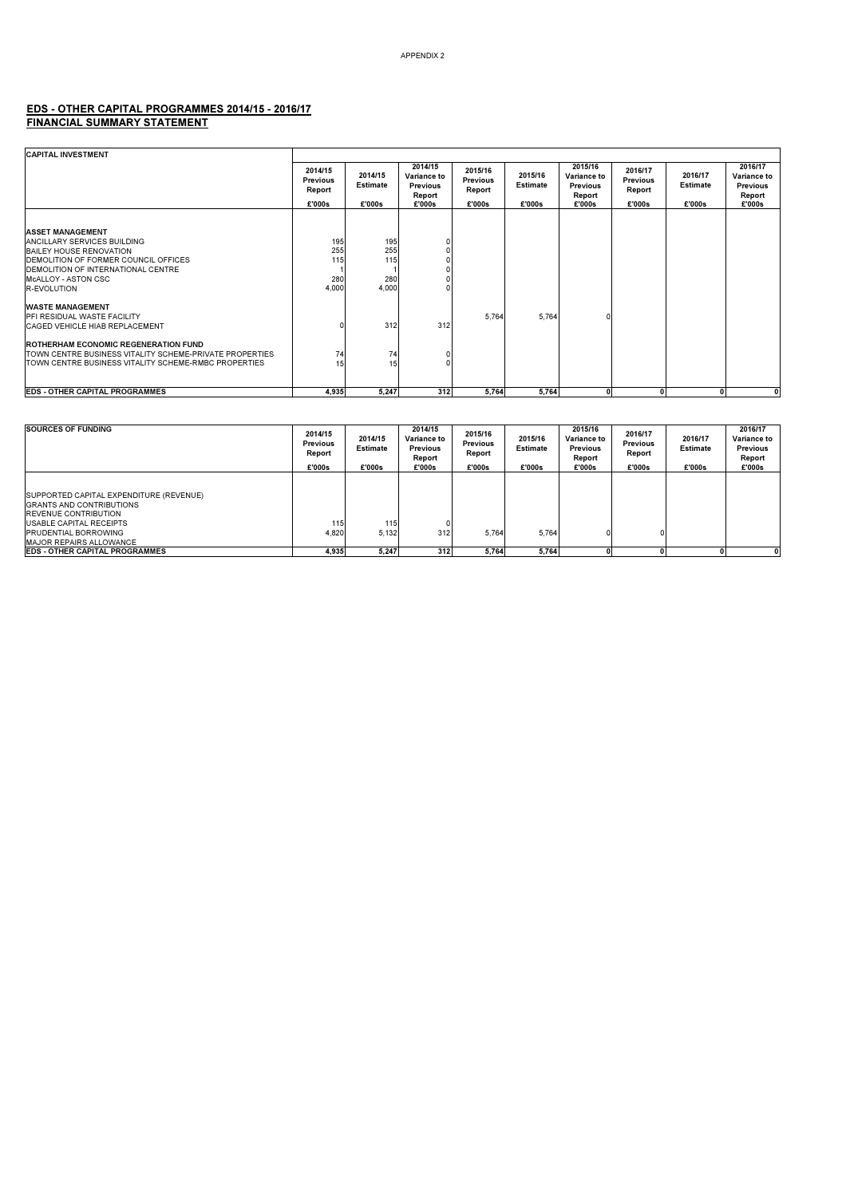#### EDS - OTHER CAPITAL PROGRAMMES 2014/15 - 2016/17 FINANCIAL SUMMARY STATEMENT

| <b>CAPITAL INVESTMENT</b>                                                                                                                                                                                            |                                      |                                   |                                                     |                                      |                            |                                                     |                                      |                            |                                                     |
|----------------------------------------------------------------------------------------------------------------------------------------------------------------------------------------------------------------------|--------------------------------------|-----------------------------------|-----------------------------------------------------|--------------------------------------|----------------------------|-----------------------------------------------------|--------------------------------------|----------------------------|-----------------------------------------------------|
|                                                                                                                                                                                                                      | 2014/15<br><b>Previous</b><br>Report | 2014/15<br><b>Estimate</b>        | 2014/15<br>Variance to<br><b>Previous</b><br>Report | 2015/16<br><b>Previous</b><br>Report | 2015/16<br><b>Estimate</b> | 2015/16<br>Variance to<br><b>Previous</b><br>Report | 2016/17<br><b>Previous</b><br>Report | 2016/17<br><b>Estimate</b> | 2016/17<br>Variance to<br><b>Previous</b><br>Report |
|                                                                                                                                                                                                                      | £'000s                               | £'000s                            | £'000s                                              | £'000s                               | £'000s                     | £'000s                                              | £'000s                               | £'000s                     | £'000s                                              |
|                                                                                                                                                                                                                      |                                      |                                   |                                                     |                                      |                            |                                                     |                                      |                            |                                                     |
| <b>ASSET MANAGEMENT</b><br>ANCILLARY SERVICES BUILDING<br><b>BAILEY HOUSE RENOVATION</b><br>DEMOLITION OF FORMER COUNCIL OFFICES<br><b>IDEMOLITION OF INTERNATIONAL CENTRE</b><br>McALLOY - ASTON CSC<br>R-EVOLUTION | 195<br>255<br>115<br>280<br>4.000    | 195<br>255<br>115<br>280<br>4,000 | 0<br>U                                              |                                      |                            |                                                     |                                      |                            |                                                     |
| <b>WASTE MANAGEMENT</b><br><b>IPFI RESIDUAL WASTE FACILITY</b><br><b>CAGED VEHICLE HIAB REPLACEMENT</b>                                                                                                              |                                      | 312                               | 312                                                 | 5,764                                | 5,764                      |                                                     |                                      |                            |                                                     |
| <b>ROTHERHAM ECONOMIC REGENERATION FUND</b><br><b>ITOWN CENTRE BUSINESS VITALITY SCHEME-PRIVATE PROPERTIES</b><br><b>ITOWN CENTRE BUSINESS VITALITY SCHEME-RMBC PROPERTIES</b>                                       | 74<br>15                             | 74<br>15 <sub>1</sub>             | 0<br>U                                              |                                      |                            |                                                     |                                      |                            |                                                     |
| <b>EDS - OTHER CAPITAL PROGRAMMES</b>                                                                                                                                                                                | 4,935                                | 5,247                             | 312                                                 | 5,764                                | 5.764                      |                                                     | 0                                    | O                          | $\mathbf{0}$                                        |

| SOURCES OF FUNDING                                                                                                                                                                                                   | 2014/15<br><b>Previous</b><br>Report<br>£'000s | 2014/15<br><b>Estimate</b><br>£'000s | 2014/15<br>Variance to<br><b>Previous</b><br>Report<br>£'000s | 2015/16<br><b>Previous</b><br>Report<br>£'000s | 2015/16<br><b>Estimate</b><br>£'000s | 2015/16<br>Variance to<br><b>Previous</b><br>Report<br>£'000s | 2016/17<br><b>Previous</b><br>Report<br>£'000s | 2016/17<br><b>Estimate</b><br>£'000s | 2016/17<br>Variance to<br><b>Previous</b><br>Report<br>£'000s |
|----------------------------------------------------------------------------------------------------------------------------------------------------------------------------------------------------------------------|------------------------------------------------|--------------------------------------|---------------------------------------------------------------|------------------------------------------------|--------------------------------------|---------------------------------------------------------------|------------------------------------------------|--------------------------------------|---------------------------------------------------------------|
| <b>ISUPPORTED CAPITAL EXPENDITURE (REVENUE)</b><br><b>GRANTS AND CONTRIBUTIONS</b><br><b>REVENUE CONTRIBUTION</b><br><b>USABLE CAPITAL RECEIPTS</b><br><b>PRUDENTIAL BORROWING</b><br><b>MAJOR REPAIRS ALLOWANCE</b> | 115<br>4.820                                   | 115<br>5,132                         | 312                                                           | 5.764                                          | 5.764                                |                                                               | n                                              |                                      |                                                               |
| <b>EDS - OTHER CAPITAL PROGRAMMES</b>                                                                                                                                                                                | 4.935                                          | 5.247                                | 312                                                           | 5.764                                          | 5.764                                |                                                               |                                                |                                      | 0                                                             |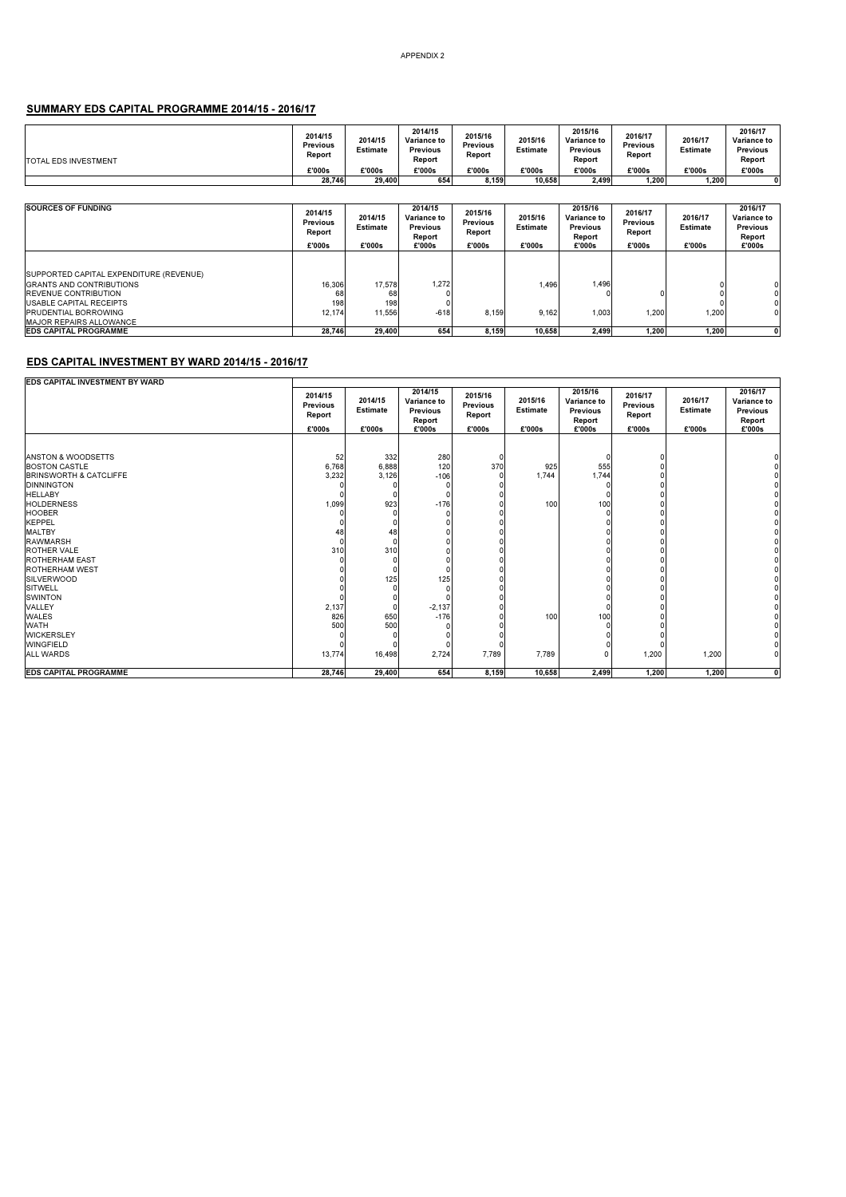#### SUMMARY EDS CAPITAL PROGRAMME 2014/15 - 2016/17

| TOTAL EDS INVESTMENT | 2014/15<br>Previous<br>Report | 2014/15<br><b>Estimate</b> | 2014/15<br>Variance to<br>Previous<br>Report | 2015/16<br>Previous<br>Report | 2015/16<br><b>Estimate</b> | 2015/16<br><b>Variance to</b><br><b>Previous</b><br>Report | 2016/17<br>Previous<br>Report | 2016/17<br><b>Estimate</b> | 2016/17<br>Variance to<br><b>Previous</b><br>Report |
|----------------------|-------------------------------|----------------------------|----------------------------------------------|-------------------------------|----------------------------|------------------------------------------------------------|-------------------------------|----------------------------|-----------------------------------------------------|
|                      | £'000s                        | £'000s                     | £'000s                                       | £'000s                        | €'000s                     | £'000s                                                     | £'000s                        | £'000s                     | £'000s                                              |
|                      | 28.746                        | 29.400                     | 654                                          | 8,159                         | 10.658                     | 2,499                                                      | 1,200                         | 1,200                      |                                                     |

| <b>SOURCES OF FUNDING</b>                                                                                                                                                                                    | 2014/15<br><b>Previous</b><br>Report<br>£'000s | 2014/15<br><b>Estimate</b><br>£'000s | 2014/15<br><b>Variance to</b><br><b>Previous</b><br>Report<br>£'000s | 2015/16<br><b>Previous</b><br>Report<br>£'000s | 2015/16<br><b>Estimate</b><br>£'000s | 2015/16<br>Variance to<br><b>Previous</b><br>Report<br>£'000s | 2016/17<br><b>Previous</b><br>Report<br>£'000s | 2016/17<br>Estimate<br>£'000s | 2016/17<br>Variance to<br><b>Previous</b><br>Report<br>£'000s |
|--------------------------------------------------------------------------------------------------------------------------------------------------------------------------------------------------------------|------------------------------------------------|--------------------------------------|----------------------------------------------------------------------|------------------------------------------------|--------------------------------------|---------------------------------------------------------------|------------------------------------------------|-------------------------------|---------------------------------------------------------------|
| SUPPORTED CAPITAL EXPENDITURE (REVENUE)<br><b>GRANTS AND CONTRIBUTIONS</b><br><b>REVENUE CONTRIBUTION</b><br><b>USABLE CAPITAL RECEIPTS</b><br><b>PRUDENTIAL BORROWING</b><br><b>MAJOR REPAIRS ALLOWANCE</b> | 16,306<br>68<br>198<br>12.174                  | 17,578<br>68<br>198<br>11.556        | 1.272<br>$-618$                                                      | 8.159                                          | 1.496<br>9.162                       | .496<br>1.003                                                 | 1.200                                          | 1.200                         | 0<br>0<br>0<br>$\mathbf 0$                                    |
| <b>EDS CAPITAL PROGRAMME</b>                                                                                                                                                                                 | 28.746                                         | 29.400                               | 654                                                                  | 8.159                                          | 10.658                               | 2.499                                                         | 1.200                                          | 1,200                         |                                                               |

#### EDS CAPITAL INVESTMENT BY WARD 2014/15 - 2016/17

| <b>EDS CAPITAL INVESTMENT BY WARD</b> |                                      |                            |                                                     |                                      |                            |                                                     |                                      |                            |                                                     |
|---------------------------------------|--------------------------------------|----------------------------|-----------------------------------------------------|--------------------------------------|----------------------------|-----------------------------------------------------|--------------------------------------|----------------------------|-----------------------------------------------------|
|                                       | 2014/15<br><b>Previous</b><br>Report | 2014/15<br><b>Estimate</b> | 2014/15<br>Variance to<br><b>Previous</b><br>Report | 2015/16<br><b>Previous</b><br>Report | 2015/16<br><b>Estimate</b> | 2015/16<br>Variance to<br><b>Previous</b><br>Report | 2016/17<br><b>Previous</b><br>Report | 2016/17<br><b>Estimate</b> | 2016/17<br>Variance to<br><b>Previous</b><br>Report |
|                                       | £'000s                               | £'000s                     | £'000s                                              | £'000s                               | £'000s                     | £'000s                                              | £'000s                               | £'000s                     | £'000s                                              |
|                                       |                                      |                            |                                                     |                                      |                            |                                                     |                                      |                            |                                                     |
| <b>ANSTON &amp; WOODSETTS</b>         | 52                                   | 332                        | 280                                                 | O                                    |                            |                                                     |                                      |                            |                                                     |
| <b>BOSTON CASTLE</b>                  | 6,768                                | 6,888                      | 120                                                 | 370                                  | 925                        | 555                                                 |                                      |                            |                                                     |
| <b>BRINSWORTH &amp; CATCLIFFE</b>     | 3,232                                | 3,126                      | $-106$                                              |                                      | 1,744                      | 1,744                                               |                                      |                            |                                                     |
| <b>DINNINGTON</b>                     |                                      |                            | ٥                                                   |                                      |                            |                                                     |                                      |                            |                                                     |
| <b>HELLABY</b>                        |                                      | $\Omega$                   | n                                                   |                                      |                            |                                                     |                                      |                            |                                                     |
| <b>HOLDERNESS</b>                     | 1,099                                | 923                        | $-176$                                              |                                      | 100                        | 100                                                 |                                      |                            |                                                     |
| <b>HOOBER</b>                         |                                      | $\Omega$                   |                                                     |                                      |                            |                                                     |                                      |                            |                                                     |
| <b>KEPPEL</b>                         |                                      | $\Omega$                   |                                                     |                                      |                            |                                                     |                                      |                            |                                                     |
| <b>MALTBY</b>                         | 48                                   | 48                         |                                                     |                                      |                            |                                                     |                                      |                            |                                                     |
| <b>RAWMARSH</b>                       |                                      | $\Omega$                   |                                                     |                                      |                            |                                                     |                                      |                            |                                                     |
| <b>ROTHER VALE</b>                    | 310                                  | 310                        |                                                     |                                      |                            |                                                     |                                      |                            |                                                     |
| <b>ROTHERHAM EAST</b>                 |                                      | $\Omega$                   |                                                     |                                      |                            |                                                     |                                      |                            |                                                     |
| <b>ROTHERHAM WEST</b>                 |                                      |                            |                                                     |                                      |                            |                                                     |                                      |                            |                                                     |
| <b>SILVERWOOD</b>                     |                                      | 125                        | 125                                                 |                                      |                            |                                                     |                                      |                            |                                                     |
| <b>SITWELL</b>                        |                                      |                            | ٥                                                   |                                      |                            |                                                     |                                      |                            |                                                     |
| <b>SWINTON</b>                        |                                      | 0                          |                                                     |                                      |                            |                                                     |                                      |                            |                                                     |
| VALLEY                                | 2,137                                | 0                          | $-2,137$                                            |                                      |                            |                                                     |                                      |                            |                                                     |
| <b>WALES</b>                          | 826                                  | 650                        | $-176$                                              |                                      | 100                        | 100                                                 |                                      |                            |                                                     |
| <b>WATH</b>                           | 500                                  | 500                        |                                                     |                                      |                            |                                                     |                                      |                            |                                                     |
| <b>WICKERSLEY</b>                     |                                      | $\Omega$                   |                                                     |                                      |                            |                                                     |                                      |                            |                                                     |
| <b>WINGFIELD</b>                      |                                      |                            |                                                     |                                      |                            |                                                     |                                      |                            |                                                     |
| <b>ALL WARDS</b>                      | 13,774                               | 16,498                     | 2,724                                               | 7,789                                | 7.789                      | 0                                                   | 1,200                                | 1,200                      |                                                     |
|                                       |                                      |                            |                                                     |                                      |                            |                                                     |                                      |                            |                                                     |
| <b>EDS CAPITAL PROGRAMME</b>          | 28,746                               | 29,400                     | 654                                                 | 8,159                                | 10.658                     | 2,499                                               | 1,200                                | 1,200                      | $\mathbf{0}$                                        |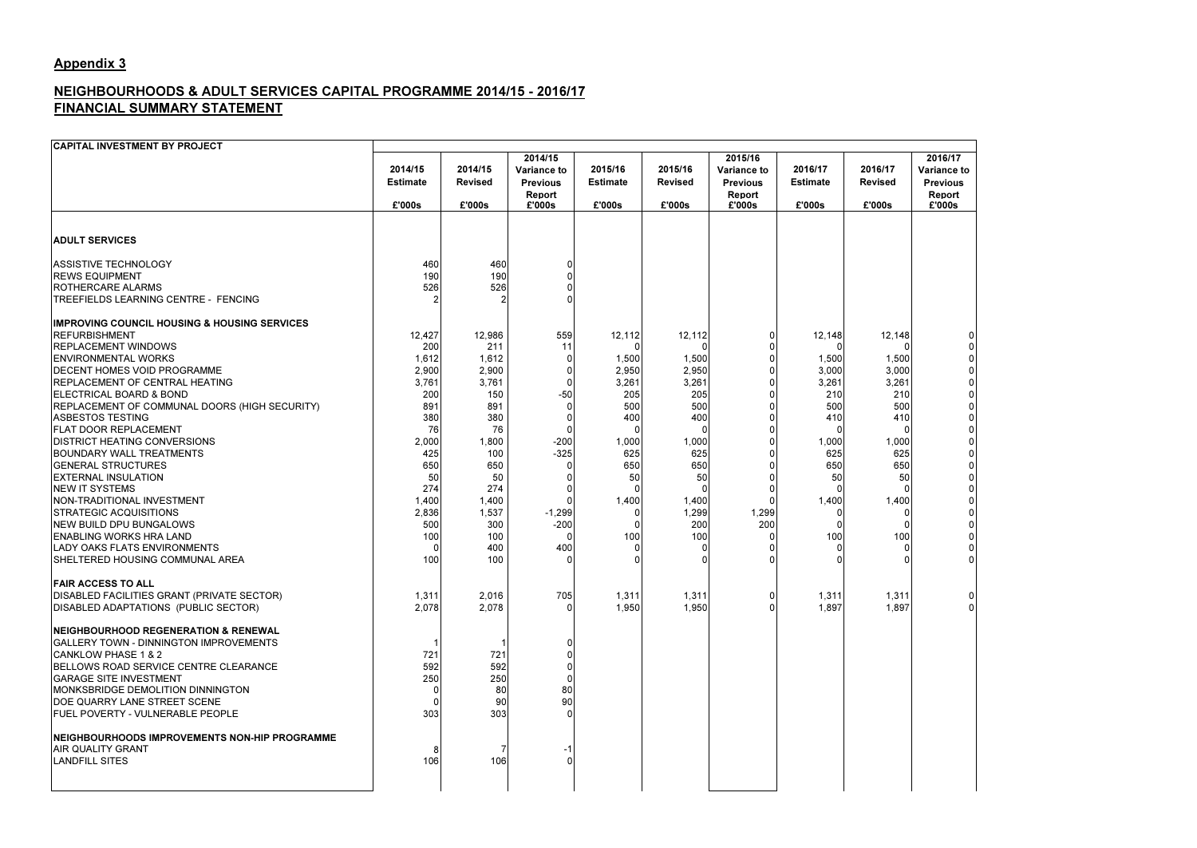# Appendix 3

## NEIGHBOURHOODS & ADULT SERVICES CAPITAL PROGRAMME 2014/15 - 2016/17FINANCIAL SUMMARY STATEMENT

| <b>CAPITAL INVESTMENT BY PROJECT</b>                                                                                                                                                                                                                                                                                                                                                                                                                                                                                                                                                                                                                                                                                    |                                                                                                                                                |                                                                                                                                                       |                                                                                    |                                                                                                               |                                                                                                                     |                                                                      |                                                                                                     |                                                                                                                                        |                                                                      |
|-------------------------------------------------------------------------------------------------------------------------------------------------------------------------------------------------------------------------------------------------------------------------------------------------------------------------------------------------------------------------------------------------------------------------------------------------------------------------------------------------------------------------------------------------------------------------------------------------------------------------------------------------------------------------------------------------------------------------|------------------------------------------------------------------------------------------------------------------------------------------------|-------------------------------------------------------------------------------------------------------------------------------------------------------|------------------------------------------------------------------------------------|---------------------------------------------------------------------------------------------------------------|---------------------------------------------------------------------------------------------------------------------|----------------------------------------------------------------------|-----------------------------------------------------------------------------------------------------|----------------------------------------------------------------------------------------------------------------------------------------|----------------------------------------------------------------------|
|                                                                                                                                                                                                                                                                                                                                                                                                                                                                                                                                                                                                                                                                                                                         | 2014/15<br><b>Estimate</b><br>£'000s                                                                                                           | 2014/15<br><b>Revised</b><br>£'000s                                                                                                                   | 2014/15<br><b>Variance to</b><br><b>Previous</b><br>Report<br>£'000s               | 2015/16<br><b>Estimate</b><br>£'000s                                                                          | 2015/16<br><b>Revised</b><br>£'000s                                                                                 | 2015/16<br><b>Variance to</b><br><b>Previous</b><br>Report<br>£'000s | 2016/17<br><b>Estimate</b><br>£'000s                                                                | 2016/17<br><b>Revised</b><br>£'000s                                                                                                    | 2016/17<br><b>Variance to</b><br><b>Previous</b><br>Report<br>£'000s |
|                                                                                                                                                                                                                                                                                                                                                                                                                                                                                                                                                                                                                                                                                                                         |                                                                                                                                                |                                                                                                                                                       |                                                                                    |                                                                                                               |                                                                                                                     |                                                                      |                                                                                                     |                                                                                                                                        |                                                                      |
| <b>ADULT SERVICES</b>                                                                                                                                                                                                                                                                                                                                                                                                                                                                                                                                                                                                                                                                                                   |                                                                                                                                                |                                                                                                                                                       |                                                                                    |                                                                                                               |                                                                                                                     |                                                                      |                                                                                                     |                                                                                                                                        |                                                                      |
| <b>ASSISTIVE TECHNOLOGY</b><br><b>REWS EQUIPMENT</b><br>ROTHERCARE ALARMS<br>TREEFIELDS LEARNING CENTRE - FENCING                                                                                                                                                                                                                                                                                                                                                                                                                                                                                                                                                                                                       | 460<br>190<br>526                                                                                                                              | 460<br>190<br>526                                                                                                                                     |                                                                                    |                                                                                                               |                                                                                                                     |                                                                      |                                                                                                     |                                                                                                                                        |                                                                      |
| <b>IMPROVING COUNCIL HOUSING &amp; HOUSING SERVICES</b><br><b>REFURBISHMENT</b><br><b>REPLACEMENT WINDOWS</b><br><b>ENVIRONMENTAL WORKS</b><br><b>DECENT HOMES VOID PROGRAMME</b><br>REPLACEMENT OF CENTRAL HEATING<br>ELECTRICAL BOARD & BOND<br>REPLACEMENT OF COMMUNAL DOORS (HIGH SECURITY)<br><b>ASBESTOS TESTING</b><br>FLAT DOOR REPLACEMENT<br><b>DISTRICT HEATING CONVERSIONS</b><br><b>BOUNDARY WALL TREATMENTS</b><br><b>GENERAL STRUCTURES</b><br><b>EXTERNAL INSULATION</b><br><b>NEW IT SYSTEMS</b><br>NON-TRADITIONAL INVESTMENT<br><b>STRATEGIC ACQUISITIONS</b><br><b>NEW BUILD DPU BUNGALOWS</b><br><b>ENABLING WORKS HRA LAND</b><br>LADY OAKS FLATS ENVIRONMENTS<br>SHELTERED HOUSING COMMUNAL AREA | 12,427<br>200<br>1,612<br>2,900<br>3,761<br>200<br>891<br>380<br>76<br>2,000<br>425<br>650<br>50<br>274<br>1,400<br>2,836<br>500<br>100<br>100 | 12,986<br>211<br>1,612<br>2,900<br>3,761<br>150<br>891<br>380<br>76<br>1,800<br>100<br>650<br>50<br>274<br>1,400<br>1,537<br>300<br>100<br>400<br>100 | 559<br>11<br>0<br>O<br>$-50$<br>$-200$<br>$-325$<br>0<br>$-1,299$<br>$-200$<br>400 | 12,112<br>O<br>1,500<br>2,950<br>3,261<br>205<br>500<br>400<br>1,000<br>625<br>650<br>50<br>1,400<br>0<br>100 | 12,112<br>1,500<br>2,950<br>3,261<br>205<br>500<br>400<br>1,000<br>625<br>650<br>50<br>1,400<br>1,299<br>200<br>100 | 1,299<br>200                                                         | 12,148<br>1,500<br>3,000<br>3,261<br>210<br>500<br>410<br>1,000<br>625<br>650<br>50<br>1,400<br>100 | 12,148<br>$\Omega$<br>1,500<br>3,000<br>3,261<br>210<br>500<br>410<br>-0<br>1,000<br>625<br>650<br>50<br>$\Omega$<br>1,400<br>0<br>100 | 0                                                                    |
| <b>FAIR ACCESS TO ALL</b><br>DISABLED FACILITIES GRANT (PRIVATE SECTOR)<br>DISABLED ADAPTATIONS (PUBLIC SECTOR)                                                                                                                                                                                                                                                                                                                                                                                                                                                                                                                                                                                                         | 1,311<br>2,078                                                                                                                                 | 2,016<br>2,078                                                                                                                                        | 705                                                                                | 1,311<br>1,950                                                                                                | 1,311<br>1,950                                                                                                      | 01                                                                   | 1,311<br>1,897                                                                                      | 1,311<br>1,897                                                                                                                         | 0<br>$\Omega$                                                        |
| <b>NEIGHBOURHOOD REGENERATION &amp; RENEWAL</b><br><b>GALLERY TOWN - DINNINGTON IMPROVEMENTS</b><br><b>CANKLOW PHASE 1 &amp; 2</b><br>BELLOWS ROAD SERVICE CENTRE CLEARANCE<br><b>GARAGE SITE INVESTMENT</b><br>MONKSBRIDGE DEMOLITION DINNINGTON<br>DOE QUARRY LANE STREET SCENE<br>FUEL POVERTY - VULNERABLE PEOPLE                                                                                                                                                                                                                                                                                                                                                                                                   | 721<br>592<br>250<br>303                                                                                                                       | 721<br>592<br>250<br>80<br>90<br>303                                                                                                                  | 80<br>90                                                                           |                                                                                                               |                                                                                                                     |                                                                      |                                                                                                     |                                                                                                                                        |                                                                      |
| NEIGHBOURHOODS IMPROVEMENTS NON-HIP PROGRAMME<br><b>AIR QUALITY GRANT</b><br><b>LANDFILL SITES</b>                                                                                                                                                                                                                                                                                                                                                                                                                                                                                                                                                                                                                      | 106                                                                                                                                            | -7<br>106                                                                                                                                             |                                                                                    |                                                                                                               |                                                                                                                     |                                                                      |                                                                                                     |                                                                                                                                        |                                                                      |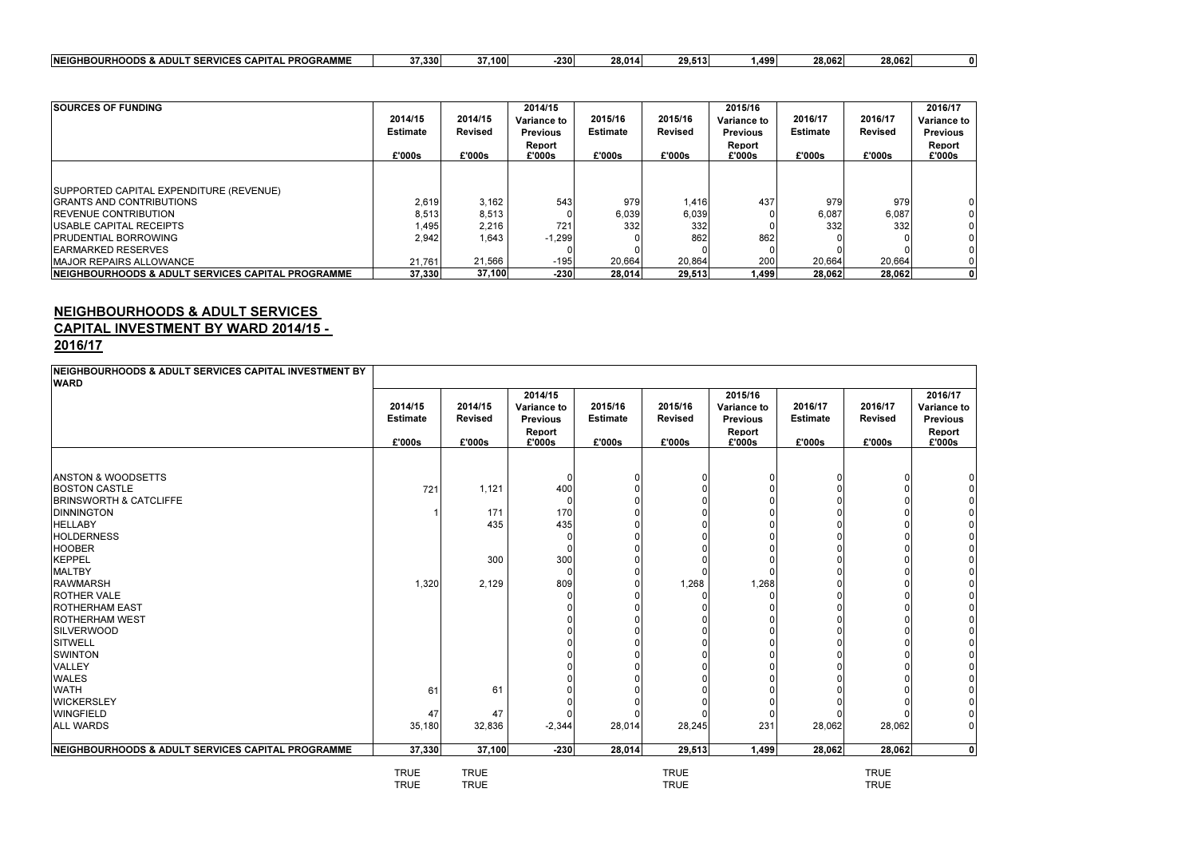| <b>PROGRAMME</b><br><b>SERVICES</b><br><b>INEIGHBOURHOODS &amp;</b><br>$\sim$<br>، & ADUL<br>$\mathbf{A}$<br>. .<br>IVI IVI E | $-$ 000<br>- 330 هـ ، ب | .100 | 230 | 28.014 | 29.51'<br>59. J I L | ا399.، | 28,062 | 28.062 |  |
|-------------------------------------------------------------------------------------------------------------------------------|-------------------------|------|-----|--------|---------------------|--------|--------|--------|--|
|                                                                                                                               |                         |      |     |        |                     |        |        |        |  |

| <b>SOURCES OF FUNDING</b>                                     |                 |                | 2014/15            |                 |                | 2015/16            |                 |                | 2016/17            |
|---------------------------------------------------------------|-----------------|----------------|--------------------|-----------------|----------------|--------------------|-----------------|----------------|--------------------|
|                                                               | 2014/15         | 2014/15        | <b>Variance to</b> | 2015/16         | 2015/16        | <b>Variance to</b> | 2016/17         | 2016/17        | <b>Variance to</b> |
|                                                               | <b>Estimate</b> | <b>Revised</b> | <b>Previous</b>    | <b>Estimate</b> | <b>Revised</b> | <b>Previous</b>    | <b>Estimate</b> | <b>Revised</b> | <b>Previous</b>    |
|                                                               |                 |                | Report             |                 |                | Report             |                 |                | <b>Report</b>      |
|                                                               | £'000s          | £'000s         | £'000s             | £'000s          | £'000s         | £'000s             | £'000s          | £'000s         | £'000s             |
|                                                               |                 |                |                    |                 |                |                    |                 |                |                    |
| SUPPORTED CAPITAL EXPENDITURE (REVENUE)                       |                 |                |                    |                 |                |                    |                 |                |                    |
| <b>IGRANTS AND CONTRIBUTIONS</b>                              | 2,619           | 3,162          | 543                | 979             | 1,416          | 437                | 979             | 979            | 01                 |
| <b>IREVENUE CONTRIBUTION</b>                                  | 8,513           | 8,513          |                    | 6,039           | 6,039          |                    | 6,087           | 6,087          | 01                 |
| <b>IUSABLE CAPITAL RECEIPTS</b>                               | 1,495           | 2,216          | 721                | 332             | 332            | 0                  | 332             | 332            | ΟI                 |
| <b>IPRUDENTIAL BORROWING</b>                                  | 2,942           | 1,643          | $-1,299$           |                 | 862            | 862                |                 |                | ΩI                 |
| <b>IEARMARKED RESERVES</b>                                    |                 |                |                    |                 |                |                    |                 |                | ΟI                 |
| <b>IMAJOR REPAIRS ALLOWANCE</b>                               | 21,761          | 21,566         | $-195$             | 20,664          | 20,864         | 200                | 20,664          | 20,664         | ΩI                 |
| <b>INEIGHBOURHOODS &amp; ADULT SERVICES CAPITAL PROGRAMME</b> | 37,330          | 37,100         | $-230$             | 28,014          | 29,513         | 1,499              | 28,062          | 28,062         | 0 I                |

# NEIGHBOURHOODS & ADULT SERVICES<br>CAPITAL <mark>INVESTMENT BY WARD 2014/15 -</mark>

2016/17

|             |                                                     |                                                    |                                                |                                      |                                                    |                                                            |                                      | 2016/17                                            |
|-------------|-----------------------------------------------------|----------------------------------------------------|------------------------------------------------|--------------------------------------|----------------------------------------------------|------------------------------------------------------------|--------------------------------------|----------------------------------------------------|
|             |                                                     | <b>Variance to</b>                                 |                                                |                                      |                                                    |                                                            |                                      | <b>Variance to</b>                                 |
|             |                                                     |                                                    |                                                |                                      |                                                    |                                                            |                                      | <b>Previous</b>                                    |
|             |                                                     | Report                                             |                                                |                                      | Report                                             |                                                            |                                      | Report                                             |
|             |                                                     |                                                    |                                                |                                      |                                                    |                                                            |                                      | £'000s                                             |
|             |                                                     |                                                    |                                                |                                      |                                                    |                                                            |                                      |                                                    |
|             |                                                     |                                                    |                                                | $\Omega$                             |                                                    |                                                            |                                      |                                                    |
| 721         | 1,121                                               | 400                                                |                                                | 0                                    |                                                    |                                                            |                                      |                                                    |
|             |                                                     |                                                    |                                                | 0                                    |                                                    |                                                            |                                      |                                                    |
|             | 171                                                 | 170                                                |                                                |                                      |                                                    |                                                            |                                      |                                                    |
|             | 435                                                 | 435                                                |                                                |                                      |                                                    |                                                            |                                      |                                                    |
|             |                                                     |                                                    |                                                |                                      |                                                    |                                                            |                                      |                                                    |
|             |                                                     |                                                    |                                                |                                      |                                                    |                                                            |                                      |                                                    |
|             | 300                                                 | 300                                                |                                                |                                      |                                                    |                                                            |                                      |                                                    |
|             |                                                     |                                                    |                                                |                                      | C                                                  |                                                            |                                      |                                                    |
| 1,320       | 2,129                                               | 809                                                |                                                | 1,268                                | 1,268                                              |                                                            |                                      |                                                    |
|             |                                                     |                                                    |                                                |                                      |                                                    | ∩                                                          |                                      | 01                                                 |
|             |                                                     |                                                    |                                                |                                      |                                                    |                                                            |                                      | 01                                                 |
|             |                                                     |                                                    |                                                |                                      |                                                    |                                                            |                                      | 0                                                  |
|             |                                                     |                                                    |                                                |                                      |                                                    |                                                            |                                      | ΟI                                                 |
|             |                                                     |                                                    |                                                |                                      |                                                    |                                                            |                                      | 0                                                  |
|             |                                                     |                                                    |                                                |                                      |                                                    |                                                            |                                      | 0                                                  |
|             |                                                     |                                                    |                                                |                                      |                                                    |                                                            |                                      | ΟI                                                 |
|             |                                                     |                                                    |                                                |                                      |                                                    |                                                            |                                      | $\overline{0}$                                     |
| 61          | 61                                                  |                                                    |                                                |                                      |                                                    |                                                            |                                      | $\overline{0}$                                     |
|             |                                                     |                                                    |                                                |                                      |                                                    |                                                            |                                      | $\overline{0}$                                     |
| 47          | 47                                                  |                                                    |                                                |                                      | -0                                                 | $\Omega$                                                   |                                      | 01                                                 |
| 35,180      | 32,836                                              | $-2,344$                                           | 28,014                                         | 28,245                               | 231                                                | 28,062                                                     | 28,062                               | $\overline{0}$                                     |
| 37,330      |                                                     | $-230$                                             | 28,014                                         | 29,513                               | 1,499                                              | 28,062                                                     | 28,062                               | $\mathbf{0}$                                       |
| <b>TRUE</b> | <b>TRUE</b>                                         |                                                    |                                                | <b>TRUE</b>                          |                                                    |                                                            | <b>TRUE</b>                          |                                                    |
|             | 2014/15<br><b>Estimate</b><br>£'000s<br><b>TRUE</b> | 2014/15<br><b>Revised</b><br>£'000s<br><b>TRUE</b> | 2014/15<br><b>Previous</b><br>£'000s<br>37,100 | 2015/16<br><b>Estimate</b><br>£'000s | 2015/16<br><b>Revised</b><br>£'000s<br><b>TRUE</b> | 2015/16<br><b>Variance to</b><br><b>Previous</b><br>£'000s | 2016/17<br><b>Estimate</b><br>£'000s | 2016/17<br><b>Revised</b><br>£'000s<br><b>TRUE</b> |